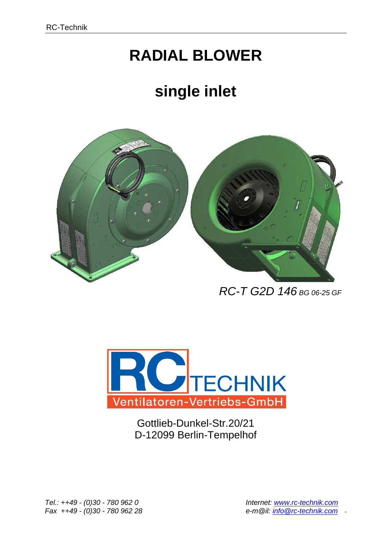# **RADIAL BLOWER**

# **single inlet**



RC-T G2D 146 BG 06-25 GF



Gottlieb-Dunkel-Str.20/21 D-12099 Berlin-Tempelhof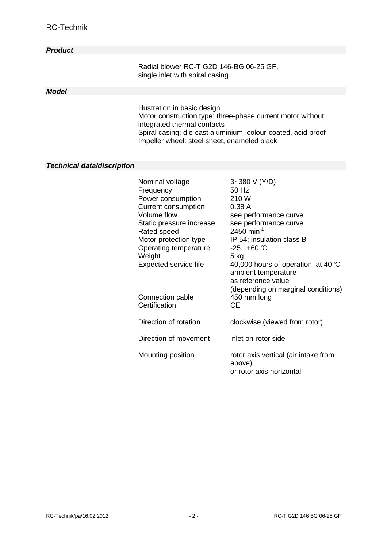### **Product**

 Radial blower RC-T G2D 146-BG 06-25 GF, single inlet with spiral casing

### **Model**

 Illustration in basic design Motor construction type: three-phase current motor without integrated thermal contacts Spiral casing: die-cast aluminium, colour-coated, acid proof Impeller wheel: steel sheet, enameled black

#### **Technical data/discription**

| Nominal voltage<br>Frequency            | 3~380 V (Y/D)<br>50 Hz                                                                                                          |
|-----------------------------------------|---------------------------------------------------------------------------------------------------------------------------------|
| Power consumption                       | 210W                                                                                                                            |
| <b>Current consumption</b>              | 0.38A                                                                                                                           |
| Volume flow                             | see performance curve                                                                                                           |
| Static pressure increase<br>Rated speed | see performance curve<br>2450 min <sup>-1</sup>                                                                                 |
| Motor protection type                   | IP 54; insulation class B                                                                                                       |
| Operating temperature                   | $-25+60$ °C                                                                                                                     |
| Weight                                  | 5 kg                                                                                                                            |
| Expected service life                   | 40,000 hours of operation, at 40 $\mathbb C$<br>ambient temperature<br>as reference value<br>(depending on marginal conditions) |
| Connection cable<br>Certification       | 450 mm long<br><b>CE</b>                                                                                                        |
| Direction of rotation                   | clockwise (viewed from rotor)                                                                                                   |
| Direction of movement                   | inlet on rotor side                                                                                                             |
| Mounting position                       | rotor axis vertical (air intake from<br>above)<br>or rotor axis horizontal                                                      |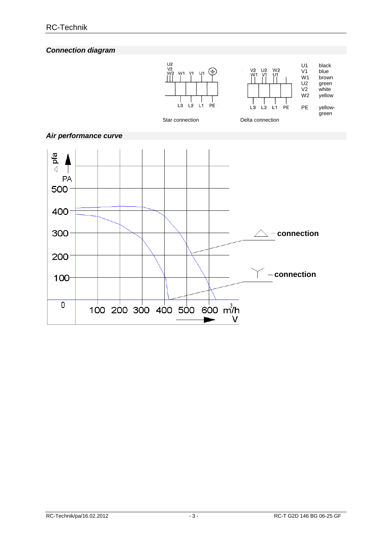**Connection diagram**